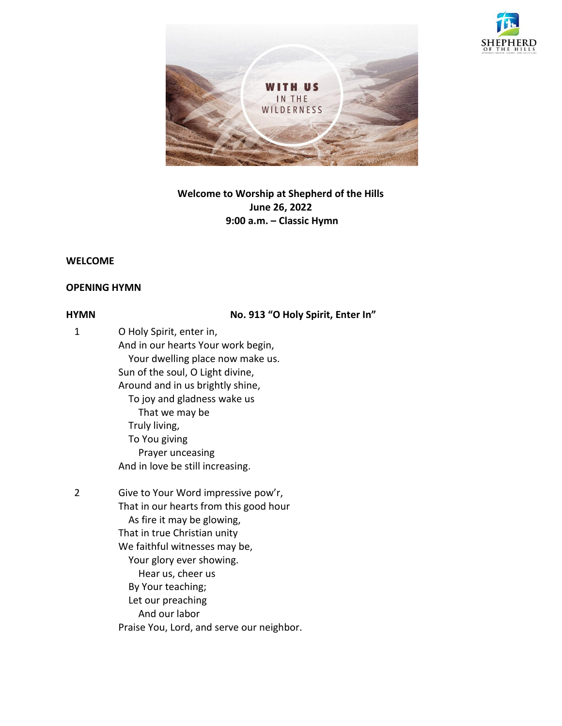



# **Welcome to Worship at Shepherd of the Hills June 26, 2022 9:00 a.m. – Classic Hymn**

## **WELCOME**

## **OPENING HYMN**

**HYMN No. 913 "O Holy Spirit, Enter In"**

| 1 | O Holy Spirit, enter in,               |
|---|----------------------------------------|
|   | And in our hearts Your work begin,     |
|   | Your dwelling place now make us.       |
|   | Sun of the soul, O Light divine,       |
|   | Around and in us brightly shine,       |
|   | To joy and gladness wake us            |
|   | That we may be                         |
|   | Truly living,                          |
|   | To You giving                          |
|   | Prayer unceasing                       |
|   | And in love be still increasing.       |
| 2 | Give to Your Word impressive pow'r,    |
|   | That in our hearts from this good hour |
|   | As fire it may be glowing,             |
|   | That in true Christian unity           |
|   | We faithful witnesses may be,          |
|   | Your glory ever showing.               |
|   | Hear us, cheer us                      |
|   | By Your teaching;                      |

 Let our preaching And our labor Praise You, Lord, and serve our neighbor.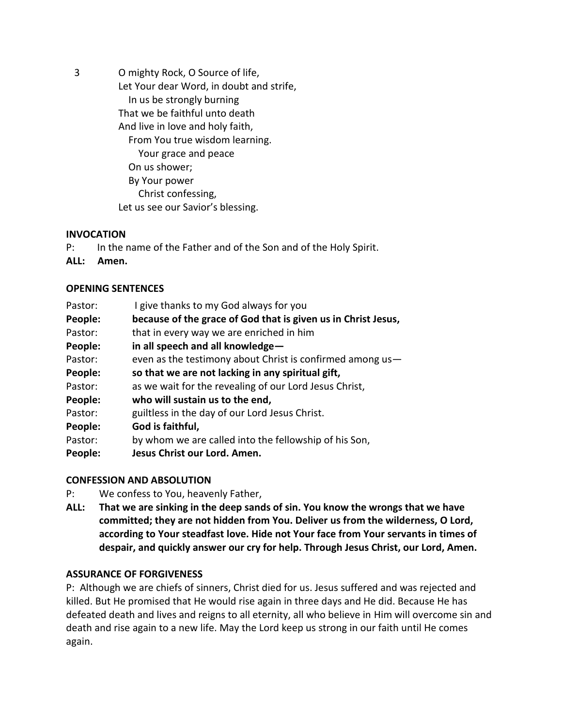3 O mighty Rock, O Source of life, Let Your dear Word, in doubt and strife, In us be strongly burning That we be faithful unto death And live in love and holy faith, From You true wisdom learning. Your grace and peace On us shower; By Your power Christ confessing, Let us see our Savior's blessing.

## **INVOCATION**

- P: In the name of the Father and of the Son and of the Holy Spirit.
- **ALL: Amen.**

#### **OPENING SENTENCES**

| Pastor: | I give thanks to my God always for you                        |
|---------|---------------------------------------------------------------|
| People: | because of the grace of God that is given us in Christ Jesus, |
| Pastor: | that in every way we are enriched in him                      |
| People: | in all speech and all knowledge-                              |
| Pastor: | even as the testimony about Christ is confirmed among us-     |
| People: | so that we are not lacking in any spiritual gift,             |
| Pastor: | as we wait for the revealing of our Lord Jesus Christ,        |
| People: | who will sustain us to the end,                               |
| Pastor: | guiltless in the day of our Lord Jesus Christ.                |
| People: | God is faithful,                                              |
| Pastor: | by whom we are called into the fellowship of his Son,         |
| People: | Jesus Christ our Lord. Amen.                                  |

## **CONFESSION AND ABSOLUTION**

- P: We confess to You, heavenly Father,
- **ALL: That we are sinking in the deep sands of sin. You know the wrongs that we have committed; they are not hidden from You. Deliver us from the wilderness, O Lord, according to Your steadfast love. Hide not Your face from Your servants in times of despair, and quickly answer our cry for help. Through Jesus Christ, our Lord, Amen.**

## **ASSURANCE OF FORGIVENESS**

P: Although we are chiefs of sinners, Christ died for us. Jesus suffered and was rejected and killed. But He promised that He would rise again in three days and He did. Because He has defeated death and lives and reigns to all eternity, all who believe in Him will overcome sin and death and rise again to a new life. May the Lord keep us strong in our faith until He comes again.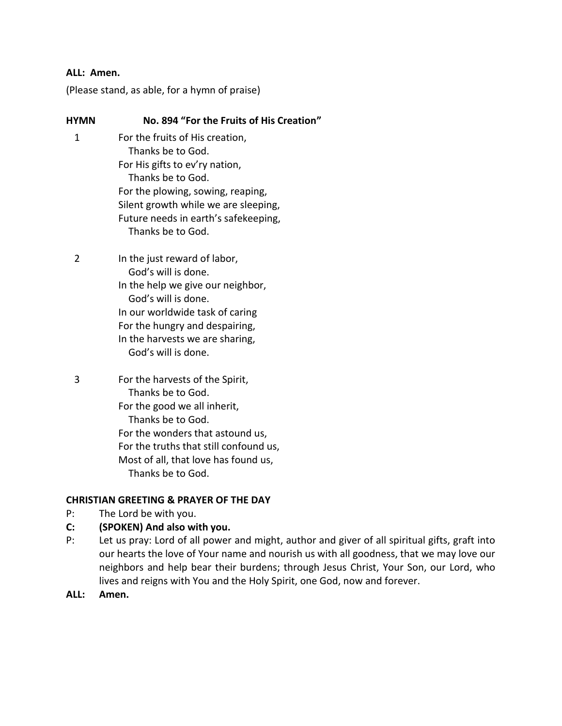### **ALL: Amen.**

(Please stand, as able, for a hymn of praise)

| <b>HYMN</b> | No. 894 "For the Fruits of His Creation"                                                                                                                                                                                                              |
|-------------|-------------------------------------------------------------------------------------------------------------------------------------------------------------------------------------------------------------------------------------------------------|
| 1           | For the fruits of His creation,<br>Thanks be to God.<br>For His gifts to ev'ry nation,<br>Thanks be to God.<br>For the plowing, sowing, reaping,<br>Silent growth while we are sleeping,<br>Future needs in earth's safekeeping,<br>Thanks be to God. |
| 2           | In the just reward of labor,<br>God's will is done.<br>In the help we give our neighbor,<br>God's will is done.<br>In our worldwide task of caring<br>For the hungry and despairing,<br>In the harvests we are sharing,<br>God's will is done.        |
| 3           | For the harvests of the Spirit,<br>Thanks be to God.<br>For the good we all inherit,<br>Thanks be to God.<br>For the wonders that astound us,<br>For the truths that still confound us,<br>Most of all, that love has found us,<br>Thanks be to God.  |

## **CHRISTIAN GREETING & PRAYER OF THE DAY**

P: The Lord be with you.

## **C: (SPOKEN) And also with you.**

- P: Let us pray: Lord of all power and might, author and giver of all spiritual gifts, graft into our hearts the love of Your name and nourish us with all goodness, that we may love our neighbors and help bear their burdens; through Jesus Christ, Your Son, our Lord, who lives and reigns with You and the Holy Spirit, one God, now and forever.
- **ALL: Amen.**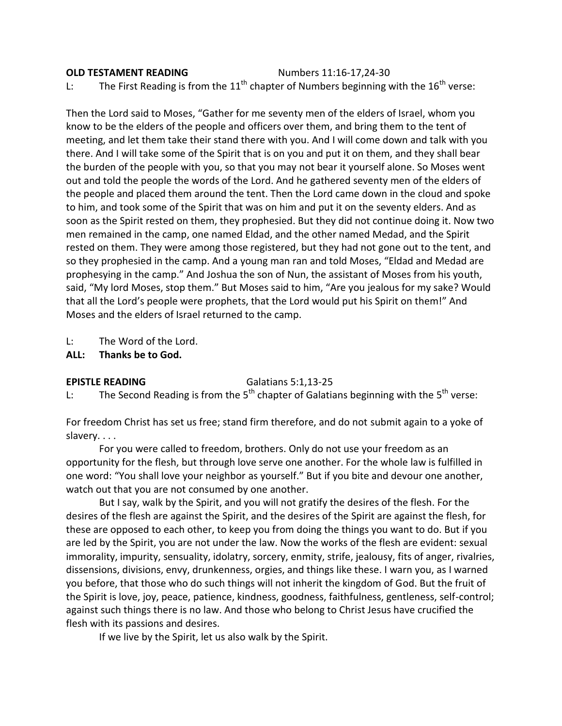## **OLD TESTAMENT READING** Numbers 11:16-17,24-30 L: The First Reading is from the  $11<sup>th</sup>$  chapter of Numbers beginning with the  $16<sup>th</sup>$  verse:

Then the Lord said to Moses, "Gather for me seventy men of the elders of Israel, whom you know to be the elders of the people and officers over them, and bring them to the tent of meeting, and let them take their stand there with you. And I will come down and talk with you there. And I will take some of the Spirit that is on you and put it on them, and they shall bear the burden of the people with you, so that you may not bear it yourself alone. So Moses went out and told the people the words of the Lord. And he gathered seventy men of the elders of the people and placed them around the tent. Then the Lord came down in the cloud and spoke to him, and took some of the Spirit that was on him and put it on the seventy elders. And as soon as the Spirit rested on them, they prophesied. But they did not continue doing it. Now two men remained in the camp, one named Eldad, and the other named Medad, and the Spirit rested on them. They were among those registered, but they had not gone out to the tent, and so they prophesied in the camp. And a young man ran and told Moses, "Eldad and Medad are prophesying in the camp." And Joshua the son of Nun, the assistant of Moses from his youth, said, "My lord Moses, stop them." But Moses said to him, "Are you jealous for my sake? Would that all the Lord's people were prophets, that the Lord would put his Spirit on them!" And Moses and the elders of Israel returned to the camp.

L: The Word of the Lord.

**ALL: Thanks be to God.**

**EPISTLE READING** Galatians 5:1,13-25

L: The Second Reading is from the 5<sup>th</sup> chapter of Galatians beginning with the 5<sup>th</sup> verse:

For freedom Christ has set us free; stand firm therefore, and do not submit again to a yoke of slavery. . . .

For you were called to freedom, brothers. Only do not use your freedom as an opportunity for the flesh, but through love serve one another. For the whole law is fulfilled in one word: "You shall love your neighbor as yourself." But if you bite and devour one another, watch out that you are not consumed by one another.

But I say, walk by the Spirit, and you will not gratify the desires of the flesh. For the desires of the flesh are against the Spirit, and the desires of the Spirit are against the flesh, for these are opposed to each other, to keep you from doing the things you want to do. But if you are led by the Spirit, you are not under the law. Now the works of the flesh are evident: sexual immorality, impurity, sensuality, idolatry, sorcery, enmity, strife, jealousy, fits of anger, rivalries, dissensions, divisions, envy, drunkenness, orgies, and things like these. I warn you, as I warned you before, that those who do such things will not inherit the kingdom of God. But the fruit of the Spirit is love, joy, peace, patience, kindness, goodness, faithfulness, gentleness, self-control; against such things there is no law. And those who belong to Christ Jesus have crucified the flesh with its passions and desires.

If we live by the Spirit, let us also walk by the Spirit.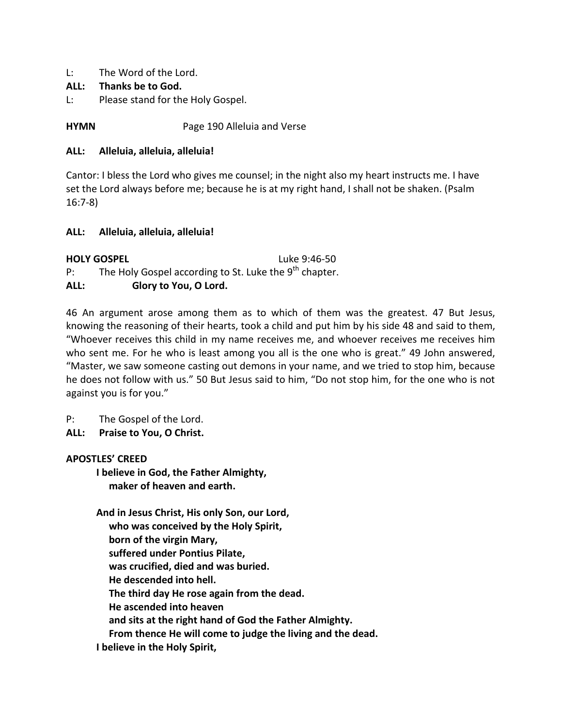L: The Word of the Lord.

## **ALL: Thanks be to God.**

L: Please stand for the Holy Gospel.

**HYMN** Page 190 Alleluia and Verse

## **ALL: Alleluia, alleluia, alleluia!**

Cantor: I bless the Lord who gives me counsel; in the night also my heart instructs me. I have set the Lord always before me; because he is at my right hand, I shall not be shaken. (Psalm 16:7-8)

## **ALL: Alleluia, alleluia, alleluia!**

|      | <b>HOLY GOSPEL</b><br>Luke 9:46-50                                 |  |
|------|--------------------------------------------------------------------|--|
| P:   | The Holy Gospel according to St. Luke the 9 <sup>th</sup> chapter. |  |
| ALL: | Glory to You, O Lord.                                              |  |

46 An argument arose among them as to which of them was the greatest. 47 But Jesus, knowing the reasoning of their hearts, took a child and put him by his side 48 and said to them, "Whoever receives this child in my name receives me, and whoever receives me receives him who sent me. For he who is least among you all is the one who is great." 49 John answered, "Master, we saw someone casting out demons in your name, and we tried to stop him, because he does not follow with us." 50 But Jesus said to him, "Do not stop him, for the one who is not against you is for you."

P: The Gospel of the Lord.

**ALL: Praise to You, O Christ.**

## **APOSTLES' CREED**

**I believe in God, the Father Almighty, maker of heaven and earth.**

**And in Jesus Christ, His only Son, our Lord, who was conceived by the Holy Spirit, born of the virgin Mary, suffered under Pontius Pilate, was crucified, died and was buried. He descended into hell. The third day He rose again from the dead. He ascended into heaven and sits at the right hand of God the Father Almighty. From thence He will come to judge the living and the dead. I believe in the Holy Spirit,**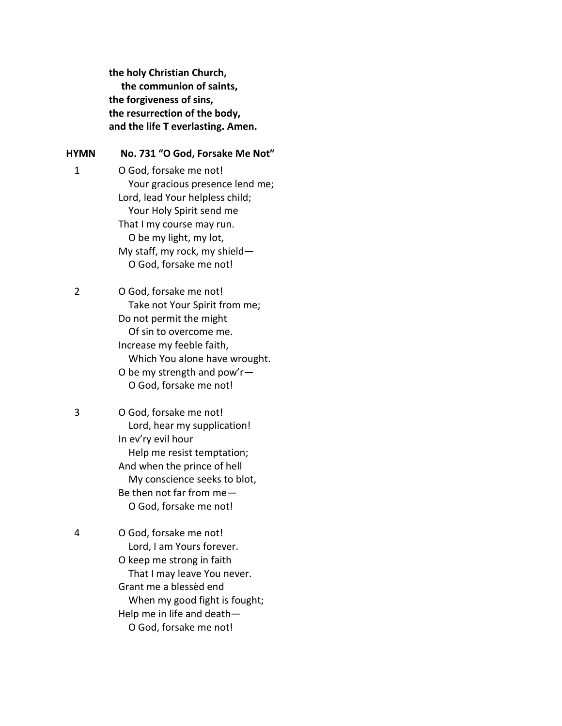**the holy Christian Church, the communion of saints, the forgiveness of sins, the resurrection of the body, and the life T everlasting. Amen.**

#### **HYMN No. 731 "O God, Forsake Me Not"**

1 O God, forsake me not! Your gracious presence lend me; Lord, lead Your helpless child; Your Holy Spirit send me That I my course may run. O be my light, my lot, My staff, my rock, my shield— O God, forsake me not!

2 O God, forsake me not! Take not Your Spirit from me; Do not permit the might Of sin to overcome me. Increase my feeble faith, Which You alone have wrought. O be my strength and pow'r— O God, forsake me not!

3 O God, forsake me not! Lord, hear my supplication! In ev'ry evil hour Help me resist temptation; And when the prince of hell My conscience seeks to blot, Be then not far from me— O God, forsake me not!

4 O God, forsake me not! Lord, I am Yours forever. O keep me strong in faith That I may leave You never. Grant me a blessèd end When my good fight is fought; Help me in life and death— O God, forsake me not!